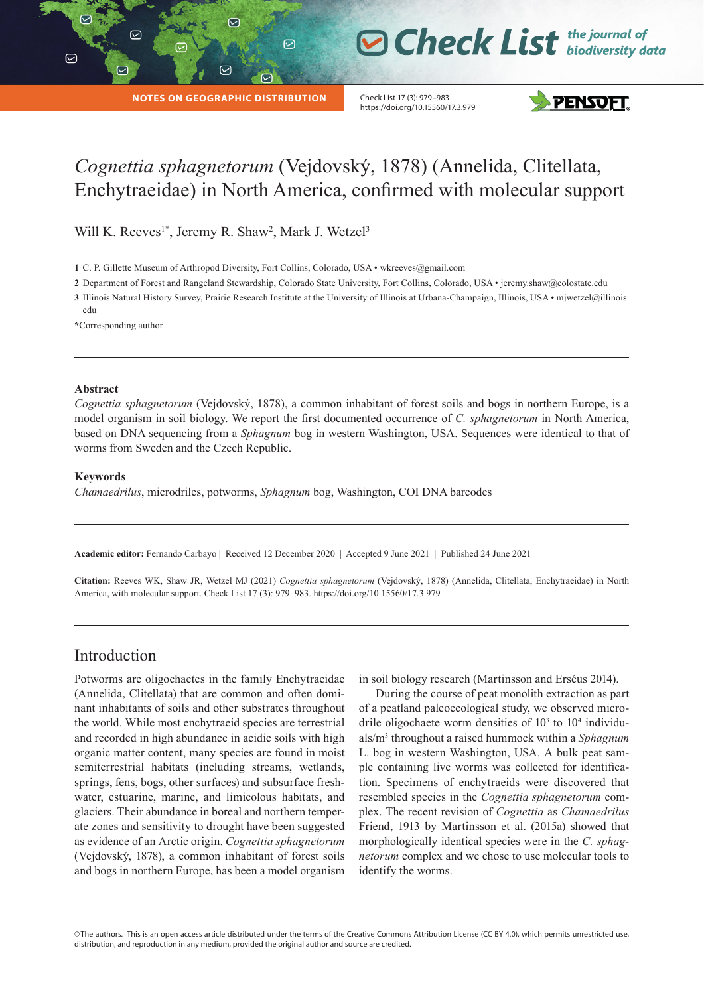$\triangledown$ 

|

# **O Check List** the journal of

**NOTES ON GEOGRAPHIC DISTRIBUTION**

☑

 $\odot$ 

 $\odot$ 

Check List 17 (3): 979–983 https://doi.org/10.15560/17.3.979



# *Cognettia sphagnetorum* (Vejdovský, 1878) (Annelida, Clitellata, Enchytraeidae) in North America, confirmed with molecular support

Will K. Reeves<sup>1\*</sup>, Jeremy R. Shaw<sup>2</sup>, Mark J. Wetzel<sup>3</sup>

**1** C. P. Gillette Museum of Arthropod Diversity, Fort Collins, Colorado, USA • [wkreeves@gmail.com](mailto:wkreeves@gmail.com)

**2** Department of Forest and Rangeland Stewardship, Colorado State University, Fort Collins, Colorado, USA • [jeremy.shaw@colostate.edu](mailto:jeremy.shaw@colostate.edu)

**3** Illinois Natural History Survey, Prairie Research Institute at the University of Illinois at Urbana-Champaign, Illinois, USA • [mjwetzel@illinois.](mailto:mjwetzel@illinois.edu) [edu](mailto:mjwetzel@illinois.edu)

**\***Corresponding author

#### **Abstract**

*Cognettia sphagnetorum* (Vejdovský, 1878), a common inhabitant of forest soils and bogs in northern Europe, is a model organism in soil biology. We report the first documented occurrence of *C. sphagnetorum* in North America, based on DNA sequencing from a *Sphagnum* bog in western Washington, USA. Sequences were identical to that of worms from Sweden and the Czech Republic.

#### **Keywords**

*Chamaedrilus*, microdriles, potworms, *Sphagnum* bog, Washington, COI DNA barcodes

**Academic editor:** Fernando Carbayo | Received 12 December 2020 | Accepted 9 June 2021 | Published 24 June 2021

**Citation:** Reeves WK, Shaw JR, Wetzel MJ (2021) *Cognettia sphagnetorum* (Vejdovský, 1878) (Annelida, Clitellata, Enchytraeidae) in North America, with molecular support. Check List 17 (3): 979–983. https://doi.org/10.15560/17.3.979

# Introduction

Potworms are oligochaetes in the family Enchytraeidae (Annelida, Clitellata) that are common and often dominant inhabitants of soils and other substrates throughout the world. While most enchytraeid species are terrestrial and recorded in high abundance in acidic soils with high organic matter content, many species are found in moist semiterrestrial habitats (including streams, wetlands, springs, fens, bogs, other surfaces) and subsurface freshwater, estuarine, marine, and limicolous habitats, and glaciers. Their abundance in boreal and northern temperate zones and sensitivity to drought have been suggested as evidence of an Arctic origin. *Cognettia sphagnetorum*  (Vejdovský, 1878), a common inhabitant of forest soils and bogs in northern Europe, has been a model organism

in soil biology research (Martinsson and Erséus 2014).

During the course of peat monolith extraction as part of a peatland paleoecological study, we observed microdrile oligochaete worm densities of  $10<sup>3</sup>$  to  $10<sup>4</sup>$  individuals/m<sup>3</sup> throughout a raised hummock within a *Sphagnum* L. bog in western Washington, USA. A bulk peat sample containing live worms was collected for identification. Specimens of enchytraeids were discovered that resembled species in the *Cognettia sphagnetorum* complex. The recent revision of *Cognettia* as *Chamaedrilus*  Friend, 1913 by Martinsson et al. (2015a) showed that morphologically identical species were in the *C. sphagnetorum* complex and we chose to use molecular tools to identify the worms.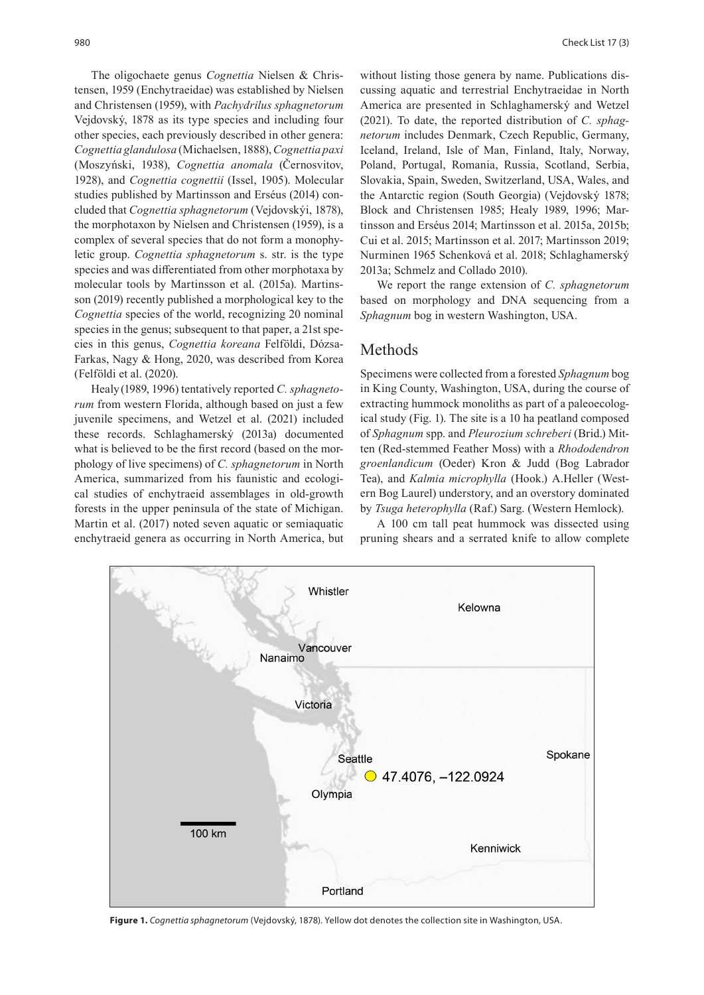The oligochaete genus *Cognettia* Nielsen & Christensen, 1959 (Enchytraeidae) was established by Nielsen and Christensen (1959), with *Pachydrilus sphagnetorum* Vejdovský, 1878 as its type species and including four other species, each previously described in other genera: *Cognettia glandulosa* (Michaelsen, 1888), *Cognettia paxi* (Moszyński, 1938), *Cognettia anomala* (Černosvitov, 1928), and *Cognettia cognettii* (Issel, 1905). Molecular studies published by Martinsson and Erséus (2014) concluded that *Cognettia sphagnetorum* (Vejdovskýi, 1878), the morphotaxon by Nielsen and Christensen (1959), is a complex of several species that do not form a monophyletic group. *Cognettia sphagnetorum* s. str. is the type species and was differentiated from other morphotaxa by molecular tools by Martinsson et al. (2015a). Martinsson (2019) recently published a morphological key to the *Cognettia* species of the world, recognizing 20 nominal species in the genus; subsequent to that paper, a 21st species in this genus, *Cognettia koreana* Felföldi, Dózsa-Farkas, Nagy & Hong, 2020, was described from Korea (Felföldi et al. (2020).

Healy(1989, 1996) tentatively reported *C. sphagnetorum* from western Florida, although based on just a few juvenile specimens, and Wetzel et al. (2021) included these records. Schlaghamerský (2013a) documented what is believed to be the first record (based on the morphology of live specimens) of *C. sphagnetorum* in North America, summarized from his faunistic and ecological studies of enchytraeid assemblages in old-growth forests in the upper peninsula of the state of Michigan. Martin et al. (2017) noted seven aquatic or semiaquatic enchytraeid genera as occurring in North America, but

without listing those genera by name. Publications discussing aquatic and terrestrial Enchytraeidae in North America are presented in Schlaghamerský and Wetzel (2021). To date, the reported distribution of *C. sphagnetorum* includes Denmark, Czech Republic, Germany, Iceland, Ireland, Isle of Man, Finland, Italy, Norway, Poland, Portugal, Romania, Russia, Scotland, Serbia, Slovakia, Spain, Sweden, Switzerland, USA, Wales, and the Antarctic region (South Georgia) (Vejdovský 1878; Block and Christensen 1985; Healy 1989, 1996; Martinsson and Erséus 2014; Martinsson et al. 2015a, 2015b; Cui et al. 2015; Martinsson et al. 2017; Martinsson 2019; Nurminen 1965 Schenková et al. 2018; Schlaghamerský 2013a; Schmelz and Collado 2010).

We report the range extension of *C. sphagnetorum* based on morphology and DNA sequencing from a *Sphagnum* bog in western Washington, USA.

#### Methods

Specimens were collected from a forested *Sphagnum* bog in King County, Washington, USA, during the course of extracting hummock monoliths as part of a paleoecological study (Fig. 1). The site is a 10 ha peatland composed of *Sphagnum* spp. and *Pleurozium schreberi* (Brid.) Mitten (Red-stemmed Feather Moss) with a *Rhododendron groenlandicum* (Oeder) Kron & Judd (Bog Labrador Tea), and *Kalmia microphylla* (Hook.) A.Heller (Western Bog Laurel) understory, and an overstory dominated by *Tsuga heterophylla* (Raf.) Sarg. (Western Hemlock).

A 100 cm tall peat hummock was dissected using pruning shears and a serrated knife to allow complete



**Figure 1.** *Cognettia sphagnetorum* (Vejdovský, 1878). Yellow dot denotes the collection site in Washington, USA.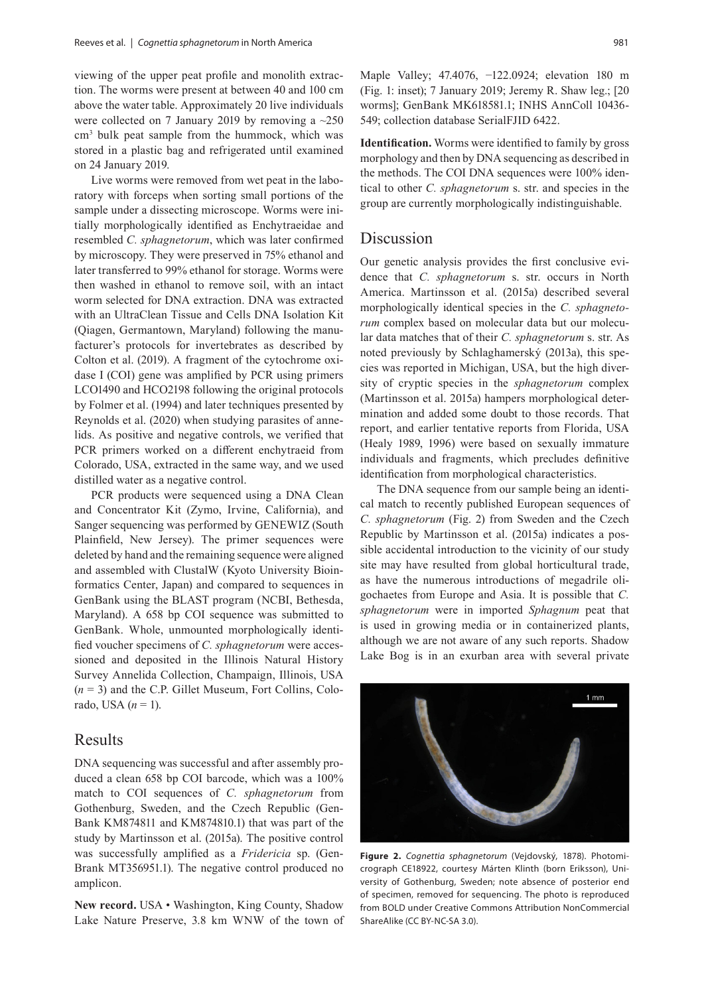viewing of the upper peat profile and monolith extraction. The worms were present at between 40 and 100 cm above the water table. Approximately 20 live individuals were collected on 7 January 2019 by removing a ~250 cm3 bulk peat sample from the hummock, which was stored in a plastic bag and refrigerated until examined on 24 January 2019.

Live worms were removed from wet peat in the laboratory with forceps when sorting small portions of the sample under a dissecting microscope. Worms were initially morphologically identified as Enchytraeidae and resembled *C. sphagnetorum*, which was later confirmed by microscopy. They were preserved in 75% ethanol and later transferred to 99% ethanol for storage. Worms were then washed in ethanol to remove soil, with an intact worm selected for DNA extraction. DNA was extracted with an UltraClean Tissue and Cells DNA Isolation Kit (Qiagen, Germantown, Maryland) following the manufacturer's protocols for invertebrates as described by Colton et al. (2019). A fragment of the cytochrome oxidase I (COI) gene was amplified by PCR using primers LCO1490 and HCO2198 following the original protocols by Folmer et al. (1994) and later techniques presented by Reynolds et al. (2020) when studying parasites of annelids. As positive and negative controls, we verified that PCR primers worked on a different enchytraeid from Colorado, USA, extracted in the same way, and we used distilled water as a negative control.

PCR products were sequenced using a DNA Clean and Concentrator Kit (Zymo, Irvine, California), and Sanger sequencing was performed by GENEWIZ (South Plainfield, New Jersey). The primer sequences were deleted by hand and the remaining sequence were aligned and assembled with ClustalW (Kyoto University Bioinformatics Center, Japan) and compared to sequences in GenBank using the BLAST program (NCBI, Bethesda, Maryland). A 658 bp COI sequence was submitted to GenBank. Whole, unmounted morphologically identified voucher specimens of *C. sphagnetorum* were accessioned and deposited in the Illinois Natural History Survey Annelida Collection, Champaign, Illinois, USA (*n* = 3) and the C.P. Gillet Museum, Fort Collins, Colorado, USA (*n* = 1).

#### Results

DNA sequencing was successful and after assembly produced a clean 658 bp COI barcode, which was a 100% match to COI sequences of *C. sphagnetorum* from Gothenburg, Sweden, and the Czech Republic (Gen-Bank KM874811 and KM874810.1) that was part of the study by Martinsson et al. (2015a). The positive control was successfully amplified as a *Fridericia* sp. (Gen-Brank MT356951.1). The negative control produced no amplicon.

**New record.** USA • Washington, King County, Shadow Lake Nature Preserve, 3.8 km WNW of the town of

Maple Valley; 47.4076, −122.0924; elevation 180 m (Fig. 1: inset); 7 January 2019; Jeremy R. Shaw leg.; [20 worms]; GenBank MK618581.1; INHS AnnColl 10436- 549; collection database SerialFJID 6422.

**Identification.** Worms were identified to family by gross morphology and then by DNA sequencing as described in the methods. The COI DNA sequences were 100% identical to other *C. sphagnetorum* s. str. and species in the group are currently morphologically indistinguishable.

#### Discussion

Our genetic analysis provides the first conclusive evidence that *C. sphagnetorum* s. str. occurs in North America. Martinsson et al. (2015a) described several morphologically identical species in the *C. sphagnetorum* complex based on molecular data but our molecular data matches that of their *C. sphagnetorum* s. str. As noted previously by Schlaghamerský (2013a), this species was reported in Michigan, USA, but the high diversity of cryptic species in the *sphagnetorum* complex (Martinsson et al. 2015a) hampers morphological determination and added some doubt to those records. That report, and earlier tentative reports from Florida, USA (Healy 1989, 1996) were based on sexually immature individuals and fragments, which precludes definitive identification from morphological characteristics.

The DNA sequence from our sample being an identical match to recently published European sequences of *C. sphagnetorum* (Fig. 2) from Sweden and the Czech Republic by Martinsson et al. (2015a) indicates a possible accidental introduction to the vicinity of our study site may have resulted from global horticultural trade, as have the numerous introductions of megadrile oligochaetes from Europe and Asia. It is possible that *C. sphagnetorum* were in imported *Sphagnum* peat that is used in growing media or in containerized plants, although we are not aware of any such reports. Shadow Lake Bog is in an exurban area with several private



**Figure 2.**  *Cognettia sphagnetorum* (Vejdovský, 1878). Photomicrograph CE18922, courtesy Márten Klinth (born Eriksson), University of Gothenburg, Sweden; note absence of posterior end of specimen, removed for sequencing. The photo is reproduced from BOLD under Creative Commons Attribution NonCommercial ShareAlike (CC BY-NC-SA 3.0).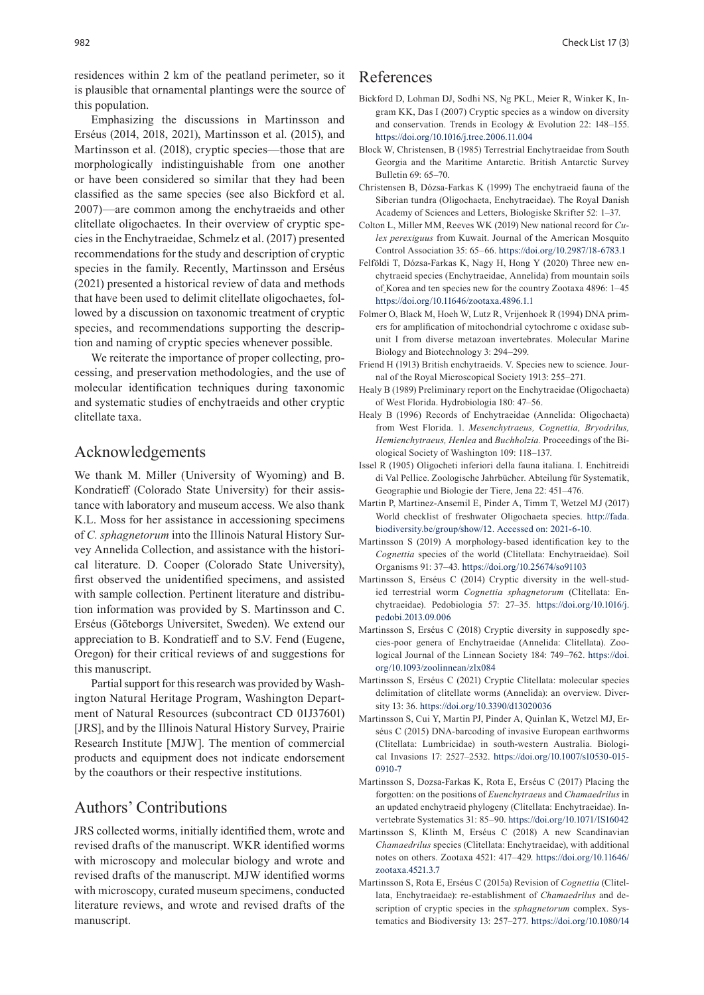residences within 2 km of the peatland perimeter, so it is plausible that ornamental plantings were the source of this population.

Emphasizing the discussions in Martinsson and Erséus (2014, 2018, 2021), Martinsson et al. (2015), and Martinsson et al. (2018), cryptic species—those that are morphologically indistinguishable from one another or have been considered so similar that they had been classified as the same species (see also Bickford et al. 2007)—are common among the enchytraeids and other clitellate oligochaetes. In their overview of cryptic species in the Enchytraeidae, Schmelz et al. (2017) presented recommendations for the study and description of cryptic species in the family. Recently, Martinsson and Erséus (2021) presented a historical review of data and methods that have been used to delimit clitellate oligochaetes, followed by a discussion on taxonomic treatment of cryptic species, and recommendations supporting the description and naming of cryptic species whenever possible.

We reiterate the importance of proper collecting, processing, and preservation methodologies, and the use of molecular identification techniques during taxonomic and systematic studies of enchytraeids and other cryptic clitellate taxa.

## Acknowledgements

We thank M. Miller (University of Wyoming) and B. Kondratieff (Colorado State University) for their assistance with laboratory and museum access. We also thank K.L. Moss for her assistance in accessioning specimens of *C. sphagnetorum* into the Illinois Natural History Survey Annelida Collection, and assistance with the historical literature. D. Cooper (Colorado State University), first observed the unidentified specimens, and assisted with sample collection. Pertinent literature and distribution information was provided by S. Martinsson and C. Erséus (Göteborgs Universitet, Sweden). We extend our appreciation to B. Kondratieff and to S.V. Fend (Eugene, Oregon) for their critical reviews of and suggestions for this manuscript.

Partial support for this research was provided by Washington Natural Heritage Program, Washington Department of Natural Resources (subcontract CD 01J37601) [JRS], and by the Illinois Natural History Survey, Prairie Research Institute [MJW]. The mention of commercial products and equipment does not indicate endorsement by the coauthors or their respective institutions.

#### Authors' Contributions

JRS collected worms, initially identified them, wrote and revised drafts of the manuscript. WKR identified worms with microscopy and molecular biology and wrote and revised drafts of the manuscript. MJW identified worms with microscopy, curated museum specimens, conducted literature reviews, and wrote and revised drafts of the manuscript.

## References

- Bickford D, Lohman DJ, Sodhi NS, Ng PKL, Meier R, Winker K, Ingram KK, Das I (2007) Cryptic species as a window on diversity and conservation. Trends in Ecology & Evolution 22: 148–155. <https://doi.org/10.1016/j.tree.2006.11.004>
- Block W, Christensen, B (1985) Terrestrial Enchytraeidae from South Georgia and the Maritime Antarctic. British Antarctic Survey Bulletin 69: 65–70.
- Christensen B, Dózsa-Farkas K (1999) The enchytraeid fauna of the Siberian tundra (Oligochaeta, Enchytraeidae). The Royal Danish Academy of Sciences and Letters, Biologiske Skrifter 52: 1–37.
- Colton L, Miller MM, Reeves WK (2019) New national record for *Culex perexiguus* from Kuwait. Journal of the American Mosquito Control Association 35: 65–66.<https://doi.org/10.2987/18-6783.1>
- Felföldi T, Dózsa-Farkas K, Nagy H, Hong Y (2020) Three new enchytraeid species (Enchytraeidae, Annelida) from mountain soils of Korea and ten species new for the country Zootaxa 4896: 1–45 <https://doi.org/10.11646/zootaxa.4896.1.1>
- Folmer O, Black M, Hoeh W, Lutz R, Vrijenhoek R (1994) DNA primers for amplification of mitochondrial cytochrome c oxidase subunit I from diverse metazoan invertebrates. Molecular Marine Biology and Biotechnology 3: 294–299.
- Friend H (1913) British enchytraeids. V. Species new to science. Journal of the Royal Microscopical Society 1913: 255–271.
- Healy B (1989) Preliminary report on the Enchytraeidae (Oligochaeta) of West Florida. Hydrobiologia 180: 47–56.
- Healy B (1996) Records of Enchytraeidae (Annelida: Oligochaeta) from West Florida. 1. *Mesenchytraeus, Cognettia, Bryodrilus, Hemienchytraeus, Henlea* and *Buchholzia.* Proceedings of the Biological Society of Washington 109: 118–137.
- Issel R (1905) Oligocheti inferiori della fauna italiana. I. Enchitreidi di Val Pellice. Zoologische Jahrbücher. Abteilung für Systematik, Geographie und Biologie der Tiere, Jena 22: 451–476.
- Martin P, Martinez-Ansemil E, Pinder A, Timm T, Wetzel MJ (2017) World checklist of freshwater Oligochaeta species. [http://fada.](http://fada.biodiversity.be/group/show/12) [biodiversity.be/group/show/12](http://fada.biodiversity.be/group/show/12). Accessed on: 2021-6-10.
- Martinsson S (2019) A morphology-based identification key to the *Cognettia* species of the world (Clitellata: Enchytraeidae). Soil Organisms 91: 37–43.<https://doi.org/10.25674/so91103>
- Martinsson S, Erséus C (2014) Cryptic diversity in the well-studied terrestrial worm *Cognettia sphagnetorum* (Clitellata: Enchytraeidae). Pedobiologia 57: 27–35. [https://doi.org/10.1016/j.](https://doi.org/10.1016/j.pedobi.2013.09.006) [pedobi.2013.09.006](https://doi.org/10.1016/j.pedobi.2013.09.006)
- Martinsson S, Erséus C (2018) Cryptic diversity in supposedly species-poor genera of Enchytraeidae (Annelida: Clitellata). Zoological Journal of the Linnean Society 184: 749–762. [https://doi.](https://doi.org/10.1093/zoolinnean/zlx084) [org/10.1093/zoolinnean/zlx084](https://doi.org/10.1093/zoolinnean/zlx084)
- Martinsson S, Erséus C (2021) Cryptic Clitellata: molecular species delimitation of clitellate worms (Annelida): an overview. Diversity 13: 36.<https://doi.org/10.3390/d13020036>
- Martinsson S, Cui Y, Martin PJ, Pinder A, Quinlan K, Wetzel MJ, Erséus C (2015) DNA-barcoding of invasive European earthworms (Clitellata: Lumbricidae) in south-western Australia. Biological Invasions 17: 2527–2532. [https://doi.org/10.1007/s10530-015-](https://doi.org/10.1007/s10530-015-0910-7) [0910-7](https://doi.org/10.1007/s10530-015-0910-7)
- Martinsson S, Dozsa-Farkas K, Rota E, Erséus C (2017) Placing the forgotten: on the positions of *Euenchytraeus* and *Chamaedrilus* in an updated enchytraeid phylogeny (Clitellata: Enchytraeidae). Invertebrate Systematics 31: 85–90.<https://doi.org/10.1071/IS16042>
- Martinsson S, Klinth M, Erséus C (2018) A new Scandinavian *Chamaedrilus* species (Clitellata: Enchytraeidae), with additional notes on others. Zootaxa 4521: 417–429. [https://doi.org/10.11646/](https://doi.org/10.11646/zootaxa.4521.3.7) [zootaxa.4521.3.7](https://doi.org/10.11646/zootaxa.4521.3.7)
- Martinsson S, Rota E, Erséus C (2015a) Revision of *Cognettia* (Clitellata, Enchytraeidae): re-establishment of *Chamaedrilus* and description of cryptic species in the *sphagnetorum* complex. Systematics and Biodiversity 13: 257–277. [https://doi.org/10.1080/14](https://doi.org/10.1080/14772000.2014.986555)